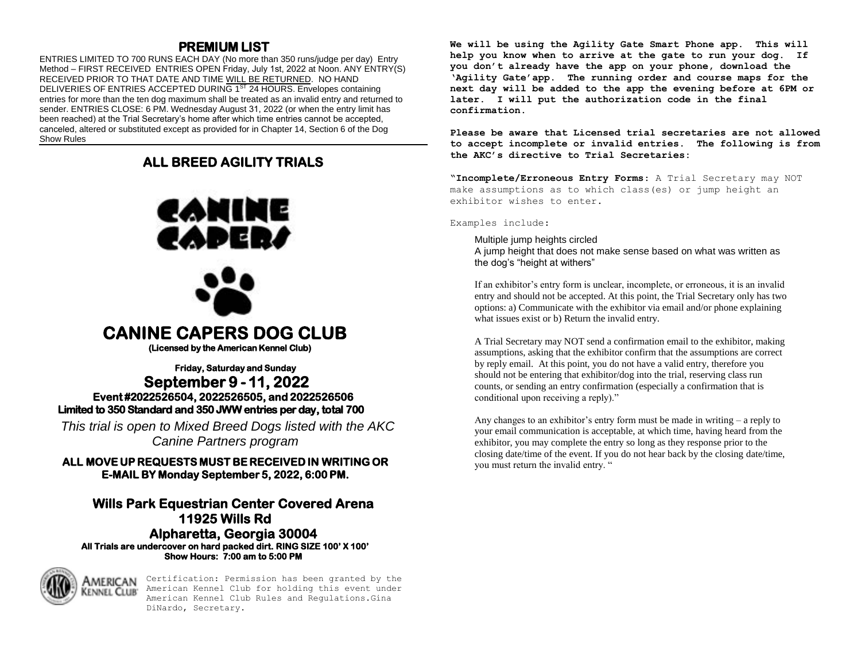## **PREMIUM LIST**

ENTRIES LIMITED TO 700 RUNS EACH DAY (No more than 350 runs/judge per day) Entry Method – FIRST RECEIVED ENTRIES OPEN Friday, July 1st, 2022 at Noon. ANY ENTRY(S) RECEIVED PRIOR TO THAT DATE AND TIME WILL BE RETURNED. NO HAND DELIVERIES OF ENTRIES ACCEPTED DURING 1<sup>ST</sup> 24 HOURS. Envelopes containing entries for more than the ten dog maximum shall be treated as an invalid entry and returned to sender. ENTRIES CLOSE: 6 PM. Wednesday August 31, 2022 (or when the entry limit has been reached) at the Trial Secretary's home after which time entries cannot be accepted, canceled, altered or substituted except as provided for in Chapter 14, Section 6 of the Dog Show Rules

## **ALL BREED AGILITY TRIALS**



**(Licensed by the American Kennel Club)** 

### **Friday, Saturday and Sunday September 9 - 11, 2022 Event #2022526504, 2022526505, and 2022526506 Limited to 350 Standard and 350 JWW entries per day, total 700**

*This trial is open to Mixed Breed Dogs listed with the AKC Canine Partners program* 

**ALL MOVE UP REQUESTS MUST BE RECEIVED IN WRITING OR E-MAIL BY Monday September 5, 2022, 6:00 PM.** 

### **Wills Park Equestrian Center Covered Arena 11925 Wills Rd Alpharetta, Georgia 30004 All Trials are undercover on hard packed dirt. RING SIZE 100' X 100' Show Hours: 7:00 am to 5:00 PM**



Certification: Permission has been granted by the American Kennel Club for holding this event under American Kennel Club Rules and Regulations.Gina DiNardo, Secretary.

**We will be using the Agility Gate Smart Phone app. This will help you know when to arrive at the gate to run your dog. If you don't already have the app on your phone, download the 'Agility Gate'app. The running order and course maps for the next day will be added to the app the evening before at 6PM or later. I will put the authorization code in the final confirmation.** 

**Please be aware that Licensed trial secretaries are not allowed to accept incomplete or invalid entries. The following is from the AKC's directive to Trial Secretaries:**

**"Incomplete/Erroneous Entry Forms**: A Trial Secretary may NOT make assumptions as to which class(es) or jump height an exhibitor wishes to enter.

Examples include:

Multiple jump heights circled A jump height that does not make sense based on what was written as the dog's "height at withers"

If an exhibitor's entry form is unclear, incomplete, or erroneous, it is an invalid entry and should not be accepted. At this point, the Trial Secretary only has two options: a) Communicate with the exhibitor via email and/or phone explaining what issues exist or b) Return the invalid entry.

A Trial Secretary may NOT send a confirmation email to the exhibitor, making assumptions, asking that the exhibitor confirm that the assumptions are correct by reply email. At this point, you do not have a valid entry, therefore you should not be entering that exhibitor/dog into the trial, reserving class run counts, or sending an entry confirmation (especially a confirmation that is conditional upon receiving a reply)."

Any changes to an exhibitor's entry form must be made in writing – a reply to your email communication is acceptable, at which time, having heard from the exhibitor, you may complete the entry so long as they response prior to the closing date/time of the event. If you do not hear back by the closing date/time, you must return the invalid entry. "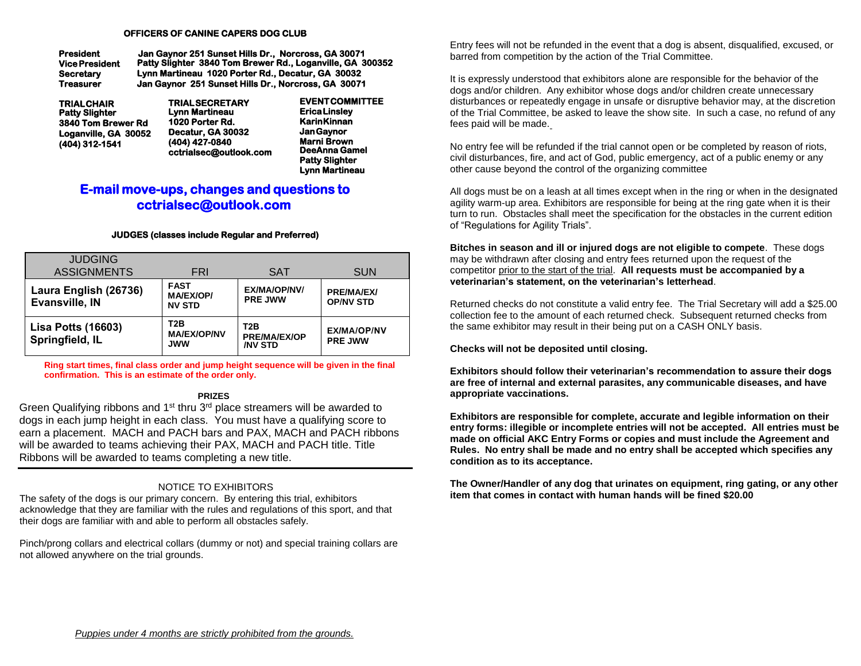#### **OFFICERS OF CANINE CAPERS DOG CLUB**

| President             | Jan Gaynor 251 Sunset Hills Dr., Norcross, GA 30071       |
|-----------------------|-----------------------------------------------------------|
| <b>Vice President</b> | Patty Slighter 3840 Tom Brewer Rd., Loganville, GA 300352 |
| Secretarv             | Lynn Martineau 1020 Porter Rd., Decatur, GA 30032         |
| Treasurer             | Jan Gavnor 251 Sunset Hills Dr., Norcross, GA 30071       |

| <b>TRIALCHAIR</b>     |
|-----------------------|
| <b>Patty Slighter</b> |
| 3840 Tom Brewer Rd    |
| Loganville, GA 30052  |
| (404) 312-1541        |

**TRIAL SECRETARY Lynn Martineau 1020 Porter Rd. Decatur, GA 30032 (404) 427-0840 cctrialsec@outlook.com**

**EVENT COMMITTEE Erica Linsley Karin Kinnan Jan Gaynor Marni Brown DeeAnna Gamel Patty Slighter Lynn Martineau**

## **E-mail move-ups, changes and questions to cctrialsec@outlook.com**

#### **JUDGES (classes include Regular and Preferred)**

| <b>JUDGING</b><br><b>ASSIGNMENTS</b>         | FRI                                                  | <b>SAT</b>                                          | <b>SUN</b>                            |
|----------------------------------------------|------------------------------------------------------|-----------------------------------------------------|---------------------------------------|
| Laura English (26736)<br>Evansville, IN      | <b>FAST</b><br><b>MA/EX/OP/</b><br><b>NV STD</b>     | <b>EX/MA/OP/NV/</b><br><b>PRE JWW</b>               | <b>PRE/MA/EX/</b><br><b>OP/NV STD</b> |
| <b>Lisa Potts (16603)</b><br>Springfield, IL | T <sub>2</sub> B<br><b>MA/EX/OP/NV</b><br><b>JWW</b> | T2B<br><b>PRE/MA/EX/OP</b><br><b><i>INV STD</i></b> | EX/MA/OP/NV<br><b>PRE JWW</b>         |

**Ring start times, final class order and jump height sequence will be given in the final confirmation. This is an estimate of the order only.** 

#### **PRIZES**

Green Qualifying ribbons and 1<sup>st</sup> thru 3<sup>rd</sup> place streamers will be awarded to dogs in each jump height in each class. You must have a qualifying score to earn a placement. MACH and PACH bars and PAX, MACH and PACH ribbons will be awarded to teams achieving their PAX, MACH and PACH title. Title Ribbons will be awarded to teams completing a new title.

#### NOTICE TO EXHIBITORS

The safety of the dogs is our primary concern. By entering this trial, exhibitors acknowledge that they are familiar with the rules and regulations of this sport, and that their dogs are familiar with and able to perform all obstacles safely.

Pinch/prong collars and electrical collars (dummy or not) and special training collars are not allowed anywhere on the trial grounds.

Entry fees will not be refunded in the event that a dog is absent, disqualified, excused, or barred from competition by the action of the Trial Committee.

It is expressly understood that exhibitors alone are responsible for the behavior of the dogs and/or children. Any exhibitor whose dogs and/or children create unnecessary disturbances or repeatedly engage in unsafe or disruptive behavior may, at the discretion of the Trial Committee, be asked to leave the show site. In such a case, no refund of any fees paid will be made.

No entry fee will be refunded if the trial cannot open or be completed by reason of riots, civil disturbances, fire, and act of God, public emergency, act of a public enemy or any other cause beyond the control of the organizing committee

All dogs must be on a leash at all times except when in the ring or when in the designated agility warm-up area. Exhibitors are responsible for being at the ring gate when it is their turn to run. Obstacles shall meet the specification for the obstacles in the current edition of "Regulations for Agility Trials".

**Bitches in season and ill or injured dogs are not eligible to compete**. These dogs may be withdrawn after closing and entry fees returned upon the request of the competitor prior to the start of the trial. **All requests must be accompanied by a veterinarian's statement, on the veterinarian's letterhead**.

Returned checks do not constitute a valid entry fee. The Trial Secretary will add a \$25.00 collection fee to the amount of each returned check. Subsequent returned checks from the same exhibitor may result in their being put on a CASH ONLY basis.

**Checks will not be deposited until closing.** 

**Exhibitors should follow their veterinarian's recommendation to assure their dogs are free of internal and external parasites, any communicable diseases, and have appropriate vaccinations.** 

**Exhibitors are responsible for complete, accurate and legible information on their entry forms: illegible or incomplete entries will not be accepted. All entries must be made on official AKC Entry Forms or copies and must include the Agreement and Rules. No entry shall be made and no entry shall be accepted which specifies any condition as to its acceptance.** 

**The Owner/Handler of any dog that urinates on equipment, ring gating, or any other item that comes in contact with human hands will be fined \$20.00**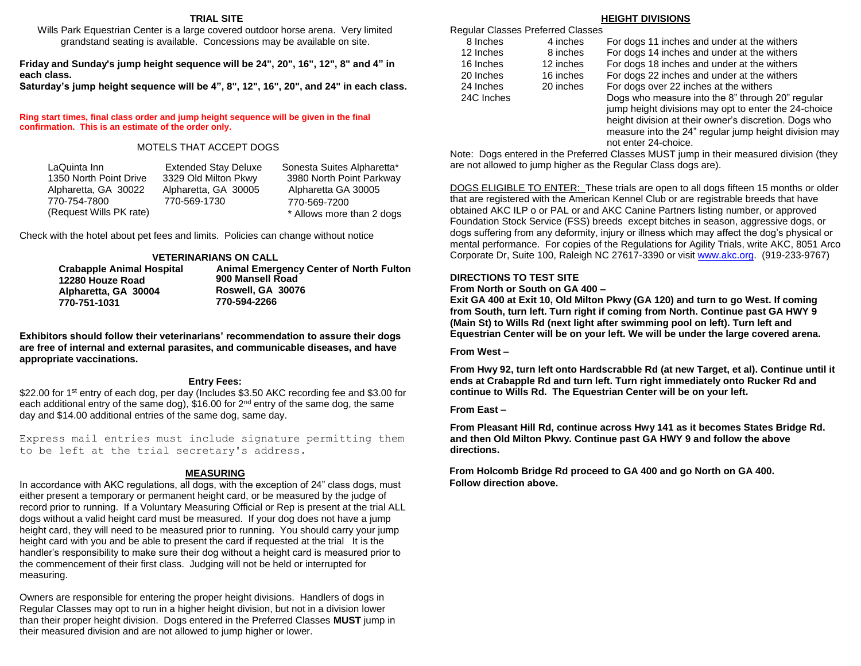#### **TRIAL SITE**

Wills Park Equestrian Center is a large covered outdoor horse arena. Very limited grandstand seating is available. Concessions may be available on site.

**Friday and Sunday's jump height sequence will be 24", 20", 16", 12", 8" and 4" in each class.** 

**Saturday's jump height sequence will be 4", 8", 12", 16", 20", and 24" in each class.** 

**Ring start times, final class order and jump height sequence will be given in the final confirmation. This is an estimate of the order only.** 

#### MOTELS THAT ACCEPT DOGS

| LaQuinta Inn            | <b>Extended Stay Deluxe</b> | Sonesta Suites Alpharetta* |
|-------------------------|-----------------------------|----------------------------|
| 1350 North Point Drive  | 3329 Old Milton Pkwy        | 3980 North Point Parkway   |
| Alpharetta, GA 30022    | Alpharetta, GA 30005        | Alpharetta GA 30005        |
| 770-754-7800            | 770-569-1730                | 770-569-7200               |
| (Request Wills PK rate) |                             | * Allows more than 2 dogs  |

Check with the hotel about pet fees and limits. Policies can change without notice

#### **VETERINARIANS ON CALL**

| <b>Crabapple Animal Hospital</b> | <b>Animal Emergency Center of North Fulton</b> |
|----------------------------------|------------------------------------------------|
| 12280 Houze Road                 | 900 Mansell Road                               |
| Alpharetta, GA 30004             | Roswell, GA 30076                              |
| 770-751-1031                     | 770-594-2266                                   |

**Exhibitors should follow their veterinarians' recommendation to assure their dogs are free of internal and external parasites, and communicable diseases, and have appropriate vaccinations.** 

#### **Entry Fees:**

\$22.00 for 1<sup>st</sup> entry of each dog, per day (Includes \$3.50 AKC recording fee and \$3.00 for each additional entry of the same dog), \$16.00 for 2<sup>nd</sup> entry of the same dog, the same day and \$14.00 additional entries of the same dog, same day.

Express mail entries must include signature permitting them to be left at the trial secretary's address.

#### **MEASURING**

In accordance with AKC regulations, all dogs, with the exception of 24" class dogs, must either present a temporary or permanent height card, or be measured by the judge of record prior to running. If a Voluntary Measuring Official or Rep is present at the trial ALL dogs without a valid height card must be measured. If your dog does not have a jump height card, they will need to be measured prior to running. You should carry your jump height card with you and be able to present the card if requested at the trial It is the handler's responsibility to make sure their dog without a height card is measured prior to the commencement of their first class. Judging will not be held or interrupted for measuring.

Owners are responsible for entering the proper height divisions. Handlers of dogs in Regular Classes may opt to run in a higher height division, but not in a division lower than their proper height division. Dogs entered in the Preferred Classes **MUST** jump in their measured division and are not allowed to jump higher or lower.

#### **HEIGHT DIVISIONS**

|            | Regular Classes Preferred Classes |                                                       |
|------------|-----------------------------------|-------------------------------------------------------|
| 8 Inches   | 4 inches                          | For dogs 11 inches and under at the withers           |
| 12 Inches  | 8 inches                          | For dogs 14 inches and under at the withers           |
| 16 Inches  | 12 inches                         | For dogs 18 inches and under at the withers           |
| 20 Inches  | 16 inches                         | For dogs 22 inches and under at the withers           |
| 24 Inches  | 20 inches                         | For dogs over 22 inches at the withers                |
| 24C Inches |                                   | Dogs who measure into the 8" through 20" regular      |
|            |                                   | jump height divisions may opt to enter the 24-choice  |
|            |                                   | height division at their owner's discretion. Dogs who |
|            |                                   | measure into the 24" regular jump height division may |

Note: Dogs entered in the Preferred Classes MUST jump in their measured division (they are not allowed to jump higher as the Regular Class dogs are).

not enter 24-choice.

DOGS ELIGIBLE TO ENTER: These trials are open to all dogs fifteen 15 months or older that are registered with the American Kennel Club or are registrable breeds that have obtained AKC ILP o or PAL or and AKC Canine Partners listing number, or approved Foundation Stock Service (FSS) breeds except bitches in season, aggressive dogs, or dogs suffering from any deformity, injury or illness which may affect the dog's physical or mental performance. For copies of the Regulations for Agility Trials, write AKC, 8051 Arco Corporate Dr, Suite 100, Raleigh NC 27617-3390 or visi[t www.akc.org.](http://www.akc.org/) (919-233-9767)

#### **DIRECTIONS TO TEST SITE**

#### **From North or South on GA 400 –**

**Exit GA 400 at Exit 10, Old Milton Pkwy (GA 120) and turn to go West. If coming from South, turn left. Turn right if coming from North. Continue past GA HWY 9 (Main St) to Wills Rd (next light after swimming pool on left). Turn left and Equestrian Center will be on your left. We will be under the large covered arena.** 

#### **From West –**

**From Hwy 92, turn left onto Hardscrabble Rd (at new Target, et al). Continue until it ends at Crabapple Rd and turn left. Turn right immediately onto Rucker Rd and continue to Wills Rd. The Equestrian Center will be on your left.** 

#### **From East –**

**From Pleasant Hill Rd, continue across Hwy 141 as it becomes States Bridge Rd. and then Old Milton Pkwy. Continue past GA HWY 9 and follow the above directions.** 

**From Holcomb Bridge Rd proceed to GA 400 and go North on GA 400. Follow direction above.**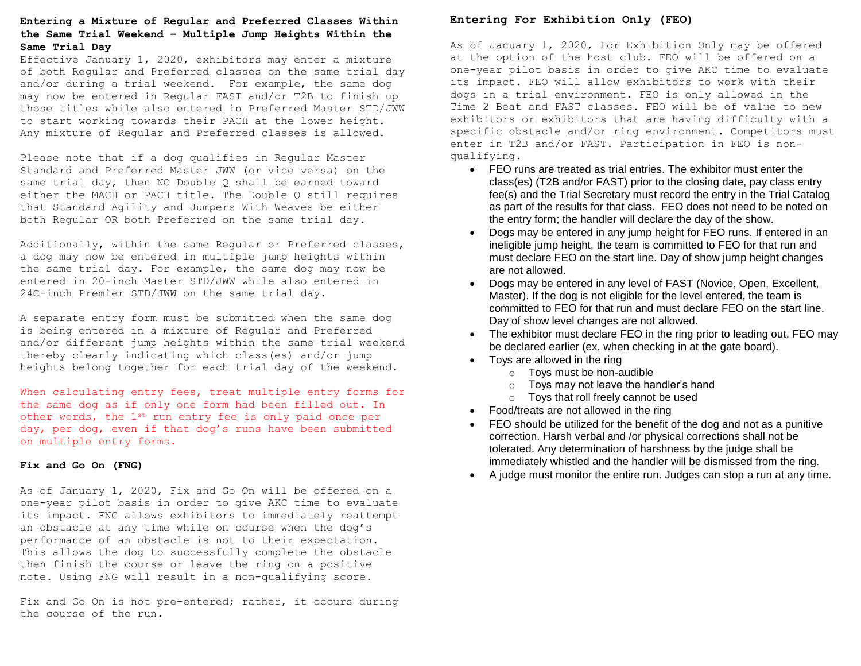#### **the Same Trial Weekend – Multiple Jump Heights Within the Same Trial Day Entering a Mixture of Regular and Preferred Classes Within**

Effective January 1, 2020, exhibitors may enter a mixture of both Regular and Preferred classes on the same trial day and/or during a trial weekend. For example, the same dog may now be entered in Regular FAST and/or T2B to finish up those titles while also entered in Preferred Master STD/JWW to start working towards their PACH at the lower height. Any mixture of Regular and Preferred classes is allowed.

Please note that if a dog qualifies in Regular Master Standard and Preferred Master JWW (or vice versa) on the same trial day, then NO Double Q shall be earned toward either the MACH or PACH title. The Double Q still requires that Standard Agility and Jumpers With Weaves be either both Regular OR both Preferred on the same trial day.

Additionally, within the same Regular or Preferred classes, a dog may now be entered in multiple jump heights within the same trial day. For example, the same dog may now be entered in 20-inch Master STD/JWW while also entered in 24C-inch Premier STD/JWW on the same trial day.

A separate entry form must be submitted when the same dog is being entered in a mixture of Regular and Preferred and/or different jump heights within the same trial weekend thereby clearly indicating which class(es) and/or jump heights belong together for each trial day of the weekend.

When calculating entry fees, treat multiple entry forms for the same dog as if only one form had been filled out. In other words, the 1st run entry fee is only paid once per day, per dog, even if that dog's runs have been submitted on multiple entry forms.

#### **Fix and Go On (FNG)**

As of January 1, 2020, Fix and Go On will be offered on a one-year pilot basis in order to give AKC time to evaluate its impact. FNG allows exhibitors to immediately reattempt an obstacle at any time while on course when the dog's performance of an obstacle is not to their expectation. This allows the dog to successfully complete the obstacle then finish the course or leave the ring on a positive note. Using FNG will result in a non-qualifying score.

Fix and Go On is not pre-entered; rather, it occurs during the course of the run.

## **Entering For Exhibition Only (FEO)**

As of January 1, 2020, For Exhibition Only may be offered at the option of the host club. FEO will be offered on a one-year pilot basis in order to give AKC time to evaluate its impact. FEO will allow exhibitors to work with their dogs in a trial environment. FEO is only allowed in the Time 2 Beat and FAST classes. FEO will be of value to new exhibitors or exhibitors that are having difficulty with a specific obstacle and/or ring environment. Competitors must enter in T2B and/or FAST. Participation in FEO is nonqualifying.

- FEO runs are treated as trial entries. The exhibitor must enter the class(es) (T2B and/or FAST) prior to the closing date, pay class entry fee(s) and the Trial Secretary must record the entry in the Trial Catalog as part of the results for that class. FEO does not need to be noted on the entry form; the handler will declare the day of the show.
- Dogs may be entered in any jump height for FEO runs. If entered in an ineligible jump height, the team is committed to FEO for that run and must declare FEO on the start line. Day of show jump height changes are not allowed.
- Dogs may be entered in any level of FAST (Novice, Open, Excellent, Master). If the dog is not eligible for the level entered, the team is committed to FEO for that run and must declare FEO on the start line. Day of show level changes are not allowed.
- The exhibitor must declare FEO in the ring prior to leading out. FEO may be declared earlier (ex. when checking in at the gate board).
- Toys are allowed in the ring
	- o Toys must be non-audible
	- o Toys may not leave the handler's hand
	- o Toys that roll freely cannot be used
- Food/treats are not allowed in the ring
- FEO should be utilized for the benefit of the dog and not as a punitive correction. Harsh verbal and /or physical corrections shall not be tolerated. Any determination of harshness by the judge shall be immediately whistled and the handler will be dismissed from the ring.
- A judge must monitor the entire run. Judges can stop a run at any time.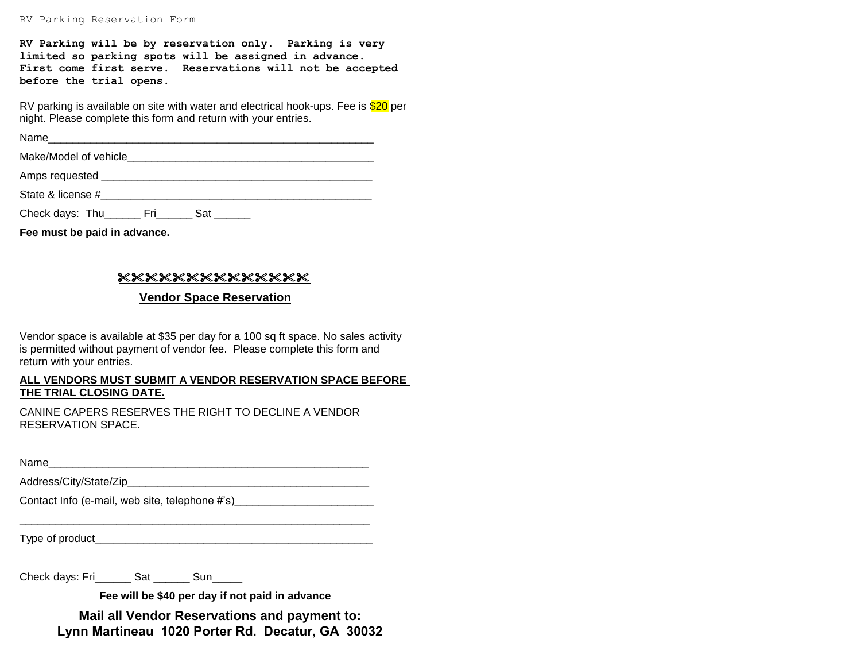**RV Parking will be by reservation only. Parking is very limited so parking spots will be assigned in advance. First come first serve. Reservations will not be accepted before the trial opens.**

RV parking is available on site with water and electrical hook-ups. Fee is \$20 per night. Please complete this form and return with your entries.

Name\_\_\_\_\_\_\_\_\_\_\_\_\_\_\_\_\_\_\_\_\_\_\_\_\_\_\_\_\_\_\_\_\_\_\_\_\_\_\_\_\_\_\_\_\_\_\_\_\_\_\_\_\_\_

Make/Model of vehicle\_\_\_\_\_\_\_\_\_\_\_\_\_\_\_\_\_\_\_\_\_\_\_\_\_\_\_\_\_\_\_\_\_\_\_\_\_\_\_\_\_

Amps requested **Example 20** and  $\overline{a}$  and  $\overline{b}$  and  $\overline{c}$  and  $\overline{d}$  and  $\overline{c}$  and  $\overline{c}$  and  $\overline{c}$  and  $\overline{c}$  and  $\overline{c}$  and  $\overline{c}$  and  $\overline{c}$  and  $\overline{c}$  and  $\overline{c}$  and  $\overline{c}$  and  $\overline{c}$ 

State & license #

Check days: Thu\_\_\_\_\_\_\_ Fri\_\_\_\_\_\_ Sat \_\_\_\_\_\_

**Fee must be paid in advance.**

## **xxxxxxxxxxxxxx**

### **Vendor Space Reservation**

Vendor space is available at \$35 per day for a 100 sq ft space. No sales activity is permitted without payment of vendor fee. Please complete this form and return with your entries.

#### **ALL VENDORS MUST SUBMIT A VENDOR RESERVATION SPACE BEFORE THE TRIAL CLOSING DATE.**

CANINE CAPERS RESERVES THE RIGHT TO DECLINE A VENDOR RESERVATION SPACE.

\_\_\_\_\_\_\_\_\_\_\_\_\_\_\_\_\_\_\_\_\_\_\_\_\_\_\_\_\_\_\_\_\_\_\_\_\_\_\_\_\_\_\_\_\_\_\_\_\_\_\_\_\_\_\_\_\_\_

Name\_\_\_\_\_\_\_\_\_\_\_\_\_\_\_\_\_\_\_\_\_\_\_\_\_\_\_\_\_\_\_\_\_\_\_\_\_\_\_\_\_\_\_\_\_\_\_\_\_\_\_\_\_

Address/City/State/Zip\_\_\_\_\_\_\_\_\_\_\_\_\_\_\_\_\_\_\_\_\_\_\_\_\_\_\_\_\_\_\_\_\_\_\_\_\_\_\_\_

Contact Info (e-mail, web site, telephone #'s) \_\_\_\_\_\_\_\_\_\_\_\_\_\_\_\_\_\_\_\_\_\_\_\_\_\_\_\_\_\_\_\_\_

Type of product

Check days: Fri\_\_\_\_\_\_ Sat \_\_\_\_\_\_ Sun\_\_\_\_\_

**Fee will be \$40 per day if not paid in advance**

**Mail all Vendor Reservations and payment to: Lynn Martineau 1020 Porter Rd. Decatur, GA 30032**